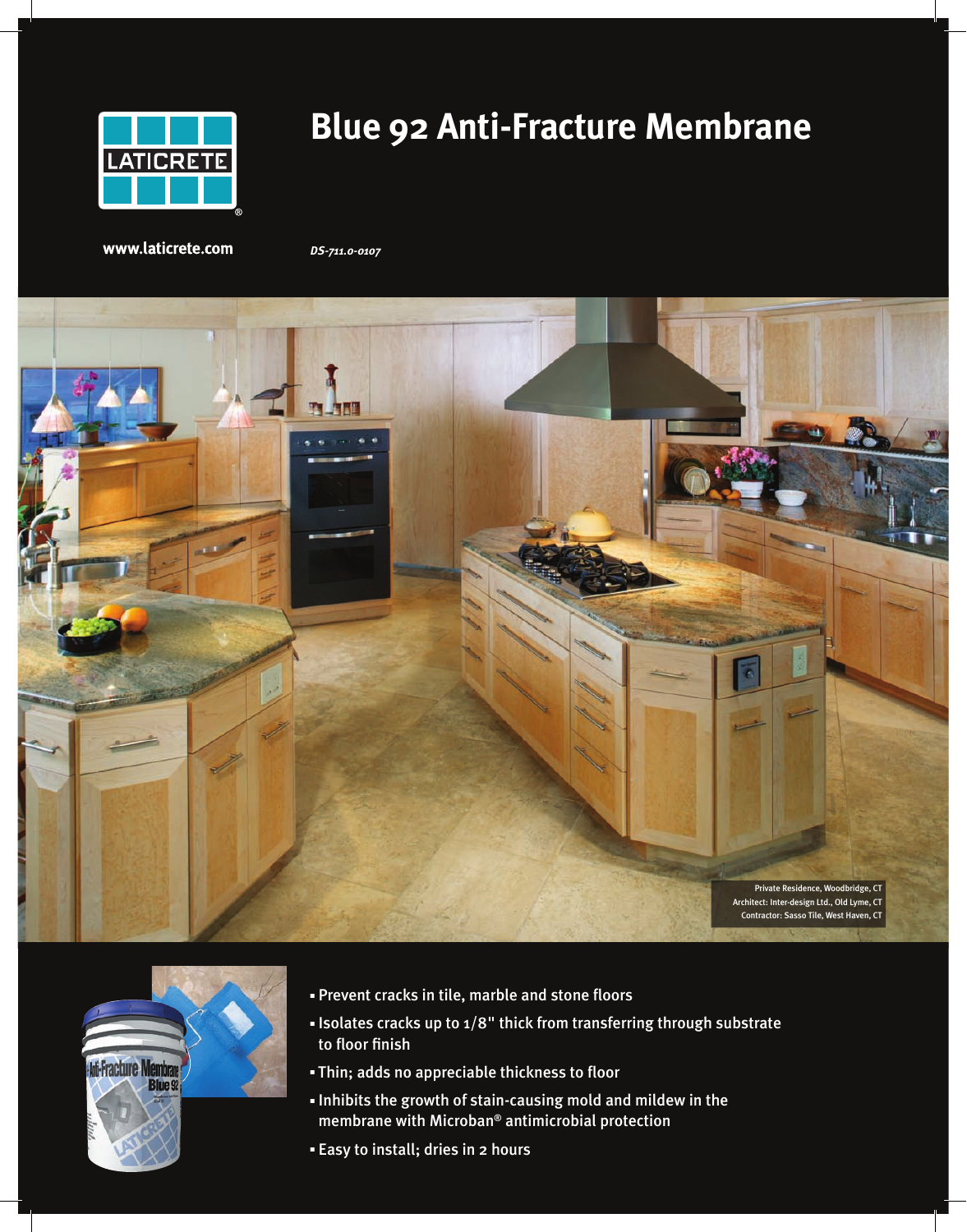

# **Blue 92 Anti-Fracture Membrane**

www.laticrete.com

*DS-711.0-0107*





- **Prevent cracks in tile, marble and stone floors**
- <sup>n</sup> Isolates cracks up to 1/8" thick from transferring through substrate to floor finish
- **Thin; adds no appreciable thickness to floor**
- <sup>n</sup> Inhibits the growth of stain-causing mold and mildew in the membrane with Microban® antimicrobial protection
- <sup>n</sup> Easy to install; dries in 2 hours